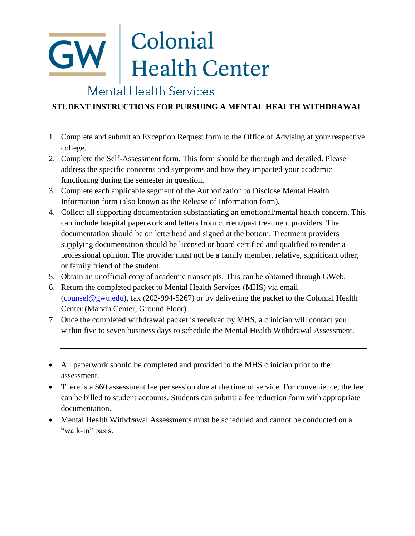# **GW** Colonial<br>Health Center

### Mental Health Services

### **STUDENT INSTRUCTIONS FOR PURSUING A MENTAL HEALTH WITHDRAWAL**

- 1. Complete and submit an Exception Request form to the Office of Advising at your respective college.
- 2. Complete the Self-Assessment form. This form should be thorough and detailed. Please address the specific concerns and symptoms and how they impacted your academic functioning during the semester in question.
- 3. Complete each applicable segment of the Authorization to Disclose Mental Health Information form (also known as the Release of Information form).
- 4. Collect all supporting documentation substantiating an emotional/mental health concern. This can include hospital paperwork and letters from current/past treatment providers. The documentation should be on letterhead and signed at the bottom. Treatment providers supplying documentation should be licensed or board certified and qualified to render a professional opinion. The provider must not be a family member, relative, significant other, or family friend of the student.
- 5. Obtain an unofficial copy of academic transcripts. This can be obtained through GWeb.
- 6. Return the completed packet to Mental Health Services (MHS) via email [\(counsel@gwu.edu\)](mailto:counsel@gwu.edu), fax (202-994-5267) or by delivering the packet to the Colonial Health Center (Marvin Center, Ground Floor).
- 7. Once the completed withdrawal packet is received by MHS, a clinician will contact you within five to seven business days to schedule the Mental Health Withdrawal Assessment.

- There is a \$60 assessment fee per session due at the time of service. For convenience, the fee can be billed to student accounts. Students can submit a fee reduction form with appropriate documentation.
- Mental Health Withdrawal Assessments must be scheduled and cannot be conducted on a "walk-in" basis.

All paperwork should be completed and provided to the MHS clinician prior to the assessment.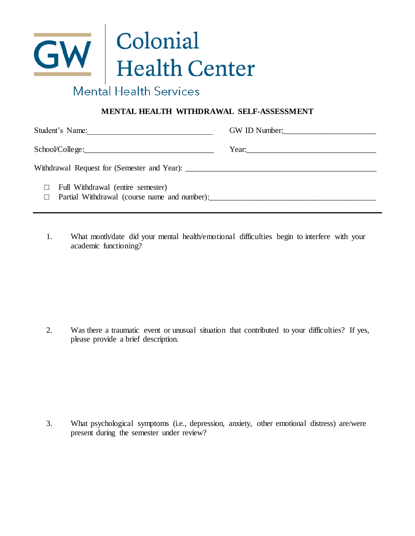## GW Colonial<br>Health Center Mental Health Services

### **MENTAL HEALTH WITHDRAWAL SELF-ASSESSMENT**

| Student's Name:<br><u> 1989 - Johann Stoff, fransk politik (d. 1989)</u>          | GW ID Number: |
|-----------------------------------------------------------------------------------|---------------|
|                                                                                   | Year:         |
| Withdrawal Request for (Semester and Year):                                       |               |
| Full Withdrawal (entire semester)<br>Partial Withdrawal (course name and number): |               |

1. What month/date did your mental health/emotional difficulties begin to interfere with your academic functioning?

2. Was there a traumatic event or unusual situation that contributed to your difficulties? If yes, please provide a brief description.

3. What psychological symptoms (i.e., depression, anxiety, other emotional distress) are/were present during the semester under review?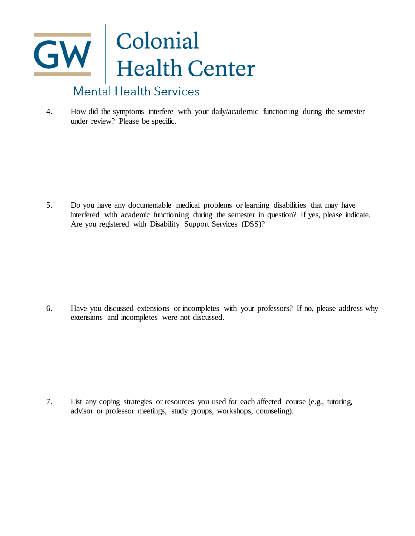## GW Colonial<br>Health Center **Mental Health Services**

4. How did the symptoms interfere with your daily/academic functioning during the semester under review? Please be specific.

5. Do you have any documentable medical problems or learning disabilities that may have interfered with academic functioning during the semester in question? If yes, please indicate. Are you registered with Disability Support Services (DSS)?

6. Have you discussed extensions or incompletes with your professors? If no, please address why extensions and incompletes were not discussed.

7. List any coping strategies or resources you used for each affected course (e.g., tutoring, advisor or professor meetings, study groups, workshops, counseling).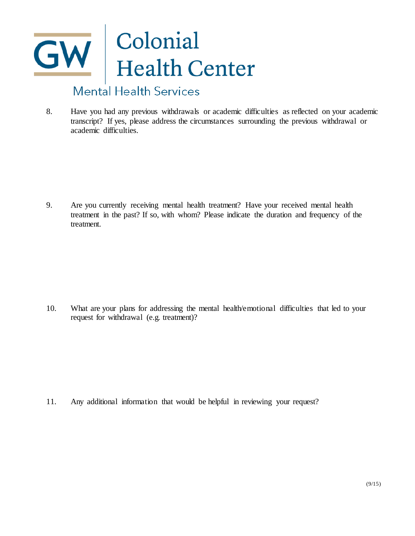## GW Colonial<br>Health Center **Mental Health Services**

8. Have you had any previous withdrawals or academic difficulties as reflected on your academic transcript? If yes, please address the circumstances surrounding the previous withdrawal or academic difficulties.

9. Are you currently receiving mental health treatment? Have your received mental health treatment in the past? If so, with whom? Please indicate the duration and frequency of the treatment.

10. What are your plans for addressing the mental health/emotional difficulties that led to your request for withdrawal (e.g. treatment)?

11. Any additional information that would be helpful in reviewing your request?